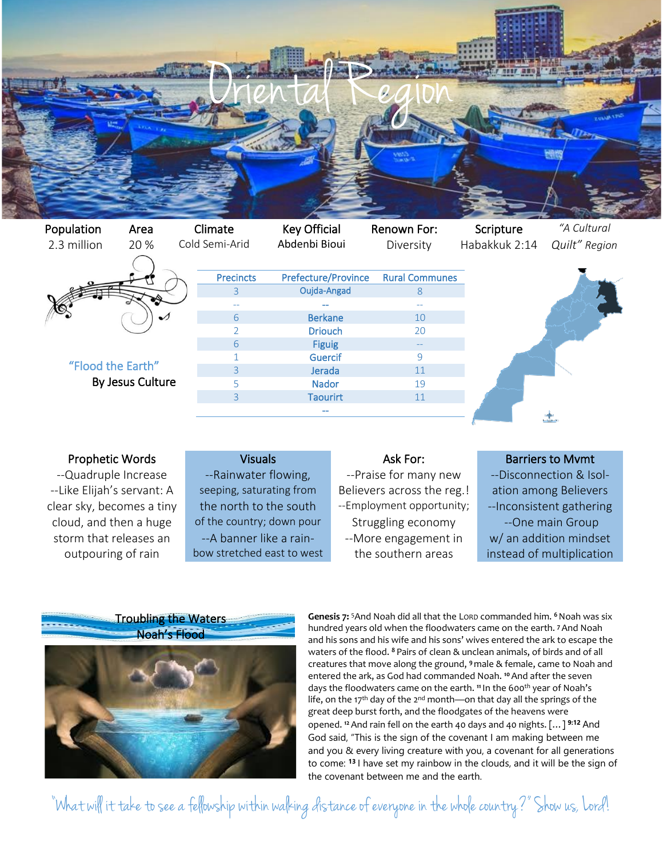

Population Area Climate Key Official Renown For: Scripture *"A Cultural*  2.3 million 20 % Cold Semi-Arid Abdenbi Bioui Diversity Habakkuk 2:14 *Quilt" Region* "Flood the Earth" By Jesus Culture Precincts Prefecture/Province Rural Communes 3 Oujda-Angad 8 -- -- -- 6 Berkane 10 2 **Driouch** 20 6 Figuig 1 Guercif 9 3 Jerada 11 5 Nador 19 3 Taourirt 11 --

## Prophetic Words **Ask Force Visuals** Visuals Ask For: Barriers to Mvmt

clear sky, becomes a tiny the north to the south  $\blacksquare$  --Employment opportunity;  $\blacksquare$  --Inconsistent gathering

--Quadruple Increase ---Rainwater flowing, equation of the many new the --Disconnection & Isol---Like Elijah's servant: A seeping, saturating from Believers across the reg.! ation among Believers cloud, and then a huge of the country; down pour Struggling economy --One main Group storm that releases an e--A banner like a rain-e-More engagement in w/ an addition mindset outpouring of rain bow stretched east to west the southern areas instead of multiplication



**Genesis 7:** <sup>5</sup>And Noah did all that the LORD commanded him. **<sup>6</sup>**Noah was six hundred years old when the floodwaters came on the earth. **<sup>7</sup>**And Noah and his sons and his wife and his sons' wives entered the ark to escape the waters of the flood. **<sup>8</sup>** Pairs of clean & unclean animals, of birds and of all creatures that move along the ground, **<sup>9</sup>** male & female, came to Noah and entered the ark, as God had commanded Noah. **<sup>10</sup>**And after the seven days the floodwaters came on the earth. <sup>11</sup> In the 600<sup>th</sup> year of Noah's life, on the 17<sup>th</sup> day of the 2<sup>nd</sup> month—on that day all the springs of the great deep burst forth, and the floodgates of the heavens were opened. **<sup>12</sup>**And rain fell on the earth 40 days and 40 nights. […] **9:12** And God said, "This is the sign of the covenant I am making between me and you & every living creature with you, a covenant for all generations to come: **<sup>13</sup>** I have set my rainbow in the clouds, and it will be the sign of the covenant between me and the earth.

"What will it take to see a fellowship within walking distance of everyone in the whole country?" Show us, Lord!